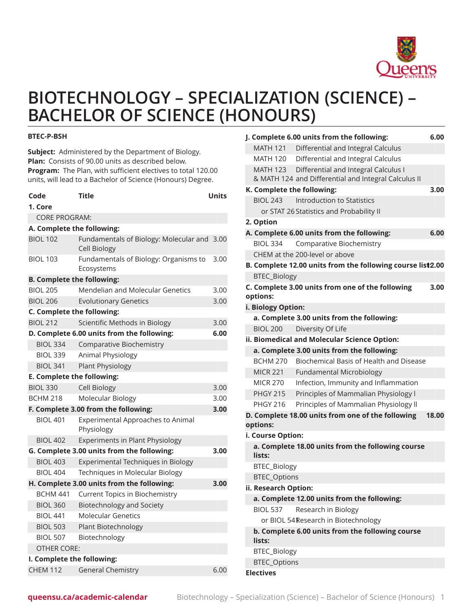

# **BIOTECHNOLOGY – SPECIALIZATION (SCIENCE) – BACHELOR OF SCIENCE (HONOURS)**

#### **BTEC-P-BSH**

**Subject:** Administered by the Department of Biology. **Plan:** Consists of 90.00 units as described below. **Program:** The Plan, with sufficient electives to total 120.00 units, will lead to a Bachelor of Science (Honours) Degree.

| Code<br>1. Core                   | <b>Title</b>                                                  | <b>Units</b> |  |
|-----------------------------------|---------------------------------------------------------------|--------------|--|
| <b>CORE PROGRAM:</b>              |                                                               |              |  |
| A. Complete the following:        |                                                               |              |  |
| <b>BIOL 102</b>                   | Fundamentals of Biology: Molecular and<br><b>Cell Biology</b> | 3.00         |  |
| <b>BIOL 103</b>                   | Fundamentals of Biology: Organisms to<br>Ecosystems           | 3.00         |  |
| <b>B. Complete the following:</b> |                                                               |              |  |
| <b>BIOL 205</b>                   | <b>Mendelian and Molecular Genetics</b>                       | 3.00         |  |
| <b>BIOL 206</b>                   | <b>Evolutionary Genetics</b>                                  | 3.00         |  |
| C. Complete the following:        |                                                               |              |  |
| <b>BIOL 212</b>                   | Scientific Methods in Biology                                 | 3.00         |  |
|                                   | D. Complete 6.00 units from the following:                    | 6.00         |  |
| <b>BIOL 334</b>                   | <b>Comparative Biochemistry</b>                               |              |  |
| <b>BIOL 339</b>                   | Animal Physiology                                             |              |  |
| <b>BIOL 341</b>                   | <b>Plant Physiology</b>                                       |              |  |
| E. Complete the following:        |                                                               |              |  |
| <b>BIOL 330</b>                   | Cell Biology                                                  | 3.00         |  |
| <b>BCHM 218</b>                   | Molecular Biology                                             | 3.00         |  |
|                                   | F. Complete 3.00 from the following:                          | 3.00         |  |
| <b>BIOL 401</b>                   | <b>Experimental Approaches to Animal</b><br>Physiology        |              |  |
| <b>BIOL 402</b>                   | <b>Experiments in Plant Physiology</b>                        |              |  |
|                                   | G. Complete 3.00 units from the following:                    | 3.00         |  |
| <b>BIOL 403</b>                   | Experimental Techniques in Biology                            |              |  |
| <b>BIOL 404</b>                   | Techniques in Molecular Biology                               |              |  |
|                                   | H. Complete 3.00 units from the following:                    | 3.00         |  |
| BCHM 441                          | Current Topics in Biochemistry                                |              |  |
| <b>BIOL 360</b>                   | <b>Biotechnology and Society</b>                              |              |  |
| <b>BIOL 441</b>                   | <b>Molecular Genetics</b>                                     |              |  |
| <b>BIOL 503</b>                   | Plant Biotechnology                                           |              |  |
| <b>BIOL 507</b>                   | Biotechnology                                                 |              |  |
| <b>OTHER CORE:</b>                |                                                               |              |  |
| I. Complete the following:        |                                                               |              |  |
| <b>CHEM 112</b>                   | <b>General Chemistry</b>                                      | 6.00         |  |

|                                                            | J. Complete 6.00 units from the following:                 | 6.00  |  |
|------------------------------------------------------------|------------------------------------------------------------|-------|--|
| <b>MATH 121</b>                                            | Differential and Integral Calculus                         |       |  |
| <b>MATH 120</b>                                            | Differential and Integral Calculus                         |       |  |
|                                                            | MATH 123 Differential and Integral Calculus I              |       |  |
|                                                            | & MATH 124 and Differential and Integral Calculus II       |       |  |
|                                                            | K. Complete the following:                                 | 3.00  |  |
| <b>BIOL 243</b>                                            | Introduction to Statistics                                 |       |  |
|                                                            | or STAT 26 Statistics and Probability II                   |       |  |
| 2. Option                                                  |                                                            |       |  |
|                                                            | A. Complete 6.00 units from the following:                 | 6.00  |  |
| <b>BIOL 334</b>                                            | Comparative Biochemistry                                   |       |  |
|                                                            | CHEM at the 200-level or above                             |       |  |
|                                                            | B. Complete 12.00 units from the following course list2.00 |       |  |
| <b>BTEC_Biology</b>                                        |                                                            |       |  |
| options:                                                   | C. Complete 3.00 units from one of the following           | 3.00  |  |
| i. Biology Option:                                         |                                                            |       |  |
|                                                            | a. Complete 3.00 units from the following:                 |       |  |
| <b>BIOL 200</b>                                            | Diversity Of Life                                          |       |  |
|                                                            | ii. Biomedical and Molecular Science Option:               |       |  |
|                                                            | a. Complete 3.00 units from the following:                 |       |  |
| BCHM 270                                                   | Biochemical Basis of Health and Disease                    |       |  |
| <b>MICR 221</b>                                            | <b>Fundamental Microbiology</b>                            |       |  |
| <b>MICR 270</b>                                            | Infection, Immunity and Inflammation                       |       |  |
| <b>PHGY 215</b>                                            | Principles of Mammalian Physiology I                       |       |  |
| <b>PHGY 216</b>                                            | Principles of Mammalian Physiology II                      |       |  |
| options:                                                   | D. Complete 18.00 units from one of the following          | 18.00 |  |
| i. Course Option:                                          |                                                            |       |  |
| lists:                                                     | a. Complete 18.00 units from the following course          |       |  |
| BTEC_Biology                                               |                                                            |       |  |
| <b>BTEC_Options</b>                                        |                                                            |       |  |
| ii. Research Option:                                       |                                                            |       |  |
|                                                            | a. Complete 12.00 units from the following:                |       |  |
| <b>BIOL 537</b>                                            | Research in Biology                                        |       |  |
|                                                            | or BIOL 54 Research in Biotechnology                       |       |  |
| b. Complete 6.00 units from the following course<br>lists: |                                                            |       |  |
| <b>BTEC_Biology</b>                                        |                                                            |       |  |
| <b>BTEC_Options</b>                                        |                                                            |       |  |
| <b>Electives</b>                                           |                                                            |       |  |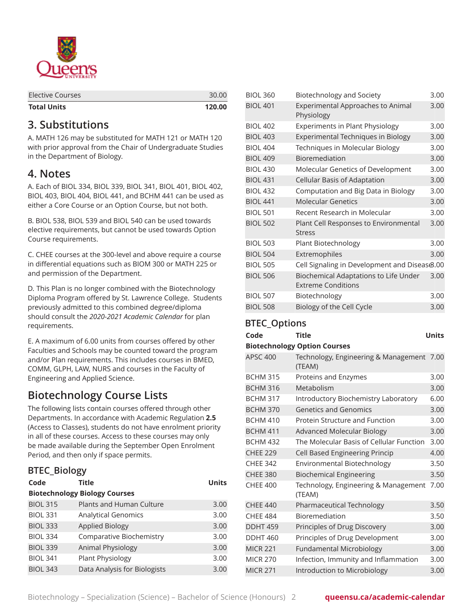

| <b>Total Units</b> | 120.00 |
|--------------------|--------|
| Elective Courses   | 30.00  |

#### **3. Substitutions**

A. MATH 126 may be substituted for MATH 121 or MATH 120 with prior approval from the Chair of Undergraduate Studies in the Department of Biology.

### **4. Notes**

A. Each of BIOL 334, BIOL 339, BIOL 341, BIOL 401, BIOL 402, BIOL 403, BIOL 404, BIOL 441, and BCHM 441 can be used as either a Core Course or an Option Course, but not both.

B. BIOL 538, BIOL 539 and BIOL 540 can be used towards elective requirements, but cannot be used towards Option Course requirements.

C. CHEE courses at the 300-level and above require a course in differential equations such as BIOM 300 or MATH 225 or and permission of the Department.

D*.* This Plan is no longer combined with the Biotechnology Diploma Program offered by St. Lawrence College. Students previously admitted to this combined degree/diploma should consult the *2020-2021 Academic Calendar* for plan requirements.

E. A maximum of 6.00 units from courses offered by other Faculties and Schools may be counted toward the program and/or Plan requirements. This includes courses in BMED, COMM, GLPH, LAW, NURS and courses in the Faculty of Engineering and Applied Science.

## **Biotechnology Course Lists**

The following lists contain courses offered through other Departments. In accordance with Academic Regulation **2.5** (Access to Classes), students do not have enrolment priority in all of these courses. Access to these courses may only be made available during the September Open Enrolment Period, and then only if space permits.

| <b>BTEC_Biology</b>                  |                              |              |  |
|--------------------------------------|------------------------------|--------------|--|
| Code                                 | <b>Title</b>                 | <b>Units</b> |  |
| <b>Biotechnology Biology Courses</b> |                              |              |  |
| <b>BIOL 315</b>                      | Plants and Human Culture     | 3.00         |  |
| <b>BIOL 331</b>                      | <b>Analytical Genomics</b>   | 3.00         |  |
| <b>BIOL 333</b>                      | Applied Biology              | 3.00         |  |
| <b>BIOL 334</b>                      | Comparative Biochemistry     | 3.00         |  |
| <b>BIOL 339</b>                      | Animal Physiology            | 3.00         |  |
| <b>BIOL 341</b>                      | Plant Physiology             | 3.00         |  |
| <b>BIOL 343</b>                      | Data Analysis for Biologists | 3.00         |  |

| <b>BIOL 360</b> | <b>Biotechnology and Society</b>                                   | 3.00 |
|-----------------|--------------------------------------------------------------------|------|
| <b>BIOL 401</b> | Experimental Approaches to Animal<br>Physiology                    | 3.00 |
| <b>BIOL 402</b> | <b>Experiments in Plant Physiology</b>                             | 3.00 |
| <b>BIOL 403</b> | <b>Experimental Techniques in Biology</b>                          | 3.00 |
| <b>BIOL 404</b> | Techniques in Molecular Biology                                    | 3.00 |
| <b>BIOL 409</b> | Bioremediation                                                     | 3.00 |
| <b>BIOL 430</b> | Molecular Genetics of Development                                  | 3.00 |
| <b>BIOL 431</b> | Cellular Basis of Adaptation                                       | 3.00 |
| <b>BIOL 432</b> | Computation and Big Data in Biology                                | 3.00 |
| <b>BIOL 441</b> | <b>Molecular Genetics</b>                                          | 3.00 |
| <b>BIOL 501</b> | Recent Research in Molecular                                       | 3.00 |
| <b>BIOL 502</b> | Plant Cell Responses to Environmental<br><b>Stress</b>             | 3.00 |
| <b>BIOL 503</b> | Plant Biotechnology                                                | 3.00 |
| <b>BIOL 504</b> | Extremophiles                                                      | 3.00 |
| <b>BIOL 505</b> | Cell Signaling in Development and Disease.00                       |      |
| <b>BIOL 506</b> | Biochemical Adaptations to Life Under<br><b>Extreme Conditions</b> | 3.00 |
| <b>BIOL 507</b> | Biotechnology                                                      | 3.00 |
| <b>BIOL 508</b> | Biology of the Cell Cycle                                          | 3.00 |

|                     | $B_1 \cup B_2$ of the sensor sensor            |              |  |
|---------------------|------------------------------------------------|--------------|--|
| <b>BTEC_Options</b> |                                                |              |  |
| Code                | <b>Title</b>                                   | <b>Units</b> |  |
|                     | <b>Biotechnology Option Courses</b>            |              |  |
| <b>APSC 400</b>     | Technology, Engineering & Management<br>(TEAM) | 7.00         |  |
| <b>BCHM 315</b>     | Proteins and Enzymes                           | 3.00         |  |
| <b>BCHM 316</b>     | Metabolism                                     | 3.00         |  |
| <b>BCHM 317</b>     | Introductory Biochemistry Laboratory           | 6.00         |  |
| <b>BCHM 370</b>     | <b>Genetics and Genomics</b>                   | 3.00         |  |
| <b>BCHM 410</b>     | Protein Structure and Function                 | 3.00         |  |
| <b>BCHM 411</b>     | <b>Advanced Molecular Biology</b>              | 3.00         |  |
| <b>BCHM 432</b>     | The Molecular Basis of Cellular Function       | 3.00         |  |
| <b>CHEE 229</b>     | Cell Based Engineering Princip                 | 4.00         |  |
| <b>CHEE 342</b>     | Environmental Biotechnology                    | 3.50         |  |
| <b>CHEE 380</b>     | <b>Biochemical Engineering</b>                 | 3.50         |  |
| <b>CHEE 400</b>     | Technology, Engineering & Management<br>(TEAM) | 7.00         |  |
| <b>CHEE 440</b>     | Pharmaceutical Technology                      | 3.50         |  |
| <b>CHEE 484</b>     | Bioremediation                                 | 3.50         |  |
| <b>DDHT 459</b>     | Principles of Drug Discovery                   | 3.00         |  |
| <b>DDHT460</b>      | Principles of Drug Development                 | 3.00         |  |
| <b>MICR 221</b>     | <b>Fundamental Microbiology</b>                | 3.00         |  |
| <b>MICR 270</b>     | Infection, Immunity and Inflammation           | 3.00         |  |
| <b>MICR 271</b>     | Introduction to Microbiology                   | 3.00         |  |
|                     |                                                |              |  |